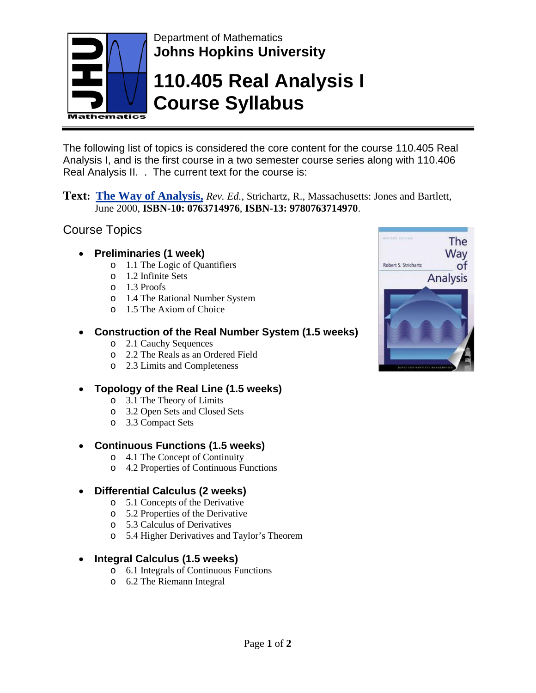

Department of Mathematics **Johns Hopkins University**

# **110.405 Real Analysis I Course Syllabus**

The following list of topics is considered the core content for the course 110.405 Real Analysis I, and is the first course in a two semester course series along with 110.406 Real Analysis II. . The current text for the course is:

**Text: The Way of Analysis,** *Rev. Ed.*, Strichartz, R., Massachusetts: Jones and Bartlett, June 2000, **ISBN-10: 0763714976**, **ISBN-13: 9780763714970**.

#### Course Topics

- **Preliminaries (1 week)**
	- o 1.1 The Logic of Quantifiers
	- o 1.2 Infinite Sets
	- o 1.3 Proofs
	- o 1.4 The Rational Number System
	- o 1.5 The Axiom of Choice

#### • **Construction of the Real Number System (1.5 weeks)**

- o 2.1 Cauchy Sequences
- o 2.2 The Reals as an Ordered Field
- o 2.3 Limits and Completeness

#### • **Topology of the Real Line (1.5 weeks)**

- o 3.1 The Theory of Limits
- o 3.2 Open Sets and Closed Sets
- o 3.3 Compact Sets

#### • **Continuous Functions (1.5 weeks)**

- o 4.1 The Concept of Continuity
- o 4.2 Properties of Continuous Functions

#### • **Differential Calculus (2 weeks)**

- o 5.1 Concepts of the Derivative
- o 5.2 Properties of the Derivative
- o 5.3 Calculus of Derivatives
- o 5.4 Higher Derivatives and Taylor's Theorem

#### • **Integral Calculus (1.5 weeks)**

- o 6.1 Integrals of Continuous Functions
- o 6.2 The Riemann Integral